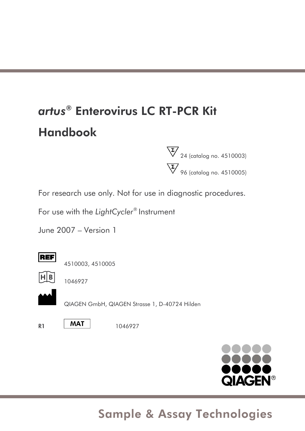# artus® Enterovirus LC RT-PCR Kit **Handbook**



For research use only. Not for use in diagnostic procedures.

For use with the LightCycler® Instrument

June 2007 - Version 1



4510003, 4510005



1046927



QIAGEN GmbH, QIAGEN Strasse 1, D-40724 Hilden



**MAT** 

1046927



# **Sample & Assay Technologies**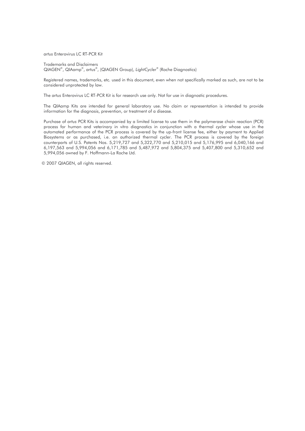artus Enterovirus LC RT-PCR Kit

**Trademarks and Disclaimers** QIAGEN®, QIAamp®, artus®, (QIAGEN Group), LightCycler® (Roche Diagnostics)

Registered names, trademarks, etc. used in this document, even when not specifically marked as such, are not to be considered unprotected by law.

The artus Enterovirus LC RT-PCR Kit is for research use only. Not for use in diagnostic procedures.

The QIAamp Kits are intended for general laboratory use. No claim or representation is intended to provide information for the diagnosis, prevention, or treatment of a disease.

Purchase of artus PCR Kits is accompanied by a limited license to use them in the polymerase chain reaction (PCR) process for human and veterinary in vitro diagnostics in conjunction with a thermal cycler whose use in the automated performance of the PCR process is covered by the up-front license fee, either by payment to Applied Biosystems or as purchased, i.e. an authorized thermal cycler. The PCR process is covered by the foreign counterparts of U.S. Patents Nos. 5,219,727 and 5,322,770 and 5,210,015 and 5,176,995 and 6,040,166 and 6,197,563 and 5,994,056 and 6,171,785 and 5,487,972 and 5,804,375 and 5,407,800 and 5,310,652 and 5,994,056 owned by F. Hoffmann-La Roche Ltd.

© 2007 QIAGEN, all rights reserved.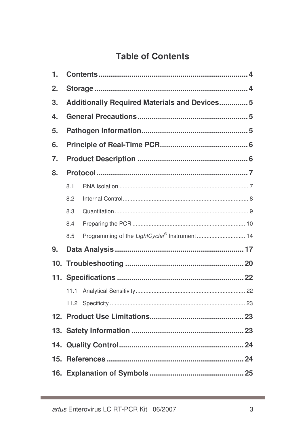# **Table of Contents**

| 1.               |     |                                                     |  |  |
|------------------|-----|-----------------------------------------------------|--|--|
| 2.               |     |                                                     |  |  |
| 3.               |     | <b>Additionally Required Materials and Devices5</b> |  |  |
| 4.               |     |                                                     |  |  |
| 5.               |     |                                                     |  |  |
| 6.               |     |                                                     |  |  |
| $\overline{7}$ . |     |                                                     |  |  |
| 8.               |     |                                                     |  |  |
|                  | 8.1 |                                                     |  |  |
|                  | 8.2 |                                                     |  |  |
|                  | 8.3 |                                                     |  |  |
|                  | 8.4 |                                                     |  |  |
|                  | 8.5 |                                                     |  |  |
| 9.               |     |                                                     |  |  |
|                  |     |                                                     |  |  |
|                  |     |                                                     |  |  |
|                  |     |                                                     |  |  |
|                  |     |                                                     |  |  |
|                  |     |                                                     |  |  |
|                  |     |                                                     |  |  |
|                  |     |                                                     |  |  |
|                  |     |                                                     |  |  |
|                  |     |                                                     |  |  |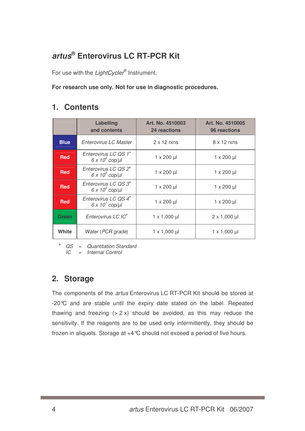## *artus* **® Enterovirus LC RT-PCR Kit**

For use with the *LightCycler* ® Instrument.

**For research use only. Not for use in diagnostic procedures.**

## **1. Contents**

|             | <b>Labelling</b><br>and contents                             | Art. No. 4510003<br>24 reactions | Art. No. 4510005<br>96 reactions |
|-------------|--------------------------------------------------------------|----------------------------------|----------------------------------|
| <b>Blue</b> | <b>Enterovirus LC Master</b>                                 | $2 \times 12$ rxns               | $8 \times 12$ rxns               |
| <b>Red</b>  | Enterovirus LC QS 1"<br>$6 \times 10^4$ cop/µl               | $1 \times 200$ µ                 | 1 x 200 µl                       |
| <b>Red</b>  | Enterovirus LC QS 2 <sup>ª</sup><br>$6 \times 10^3$ cop/µl   | $1 \times 200$ µ                 | $1 \times 200$ µ                 |
| <b>Red</b>  | Enterovirus LC QS 3"<br>$6 \times 10^2$ cop/µl               | $1 \times 200$ µl                | $1 \times 200$ µ                 |
| <b>Red</b>  | Enterovirus LC QS 4 <sup>ª</sup><br>$6 \times 10^{1}$ cop/µl | $1 \times 200 \mu$               | $1 \times 200$ µ                 |
| Green       | Enterovirus LC IC"                                           | $1 \times 1,000 \mu$             | $2 \times 1,000 \mu$             |
| White       | Water (PCR grade)                                            | 1 x 1,000 µl                     | 1 x 1,000 µl                     |

**¤** *QS* = *Quantitation Standard IC* = *Internal Control*

## **2. Storage**

The components of the *artus* Enterovirus LC RT-PCR Kit should be stored at -20°C and are stable until the expiry date stated on the label. Repeated thawing and freezing  $(2 \times 2 \times 3)$  should be avoided, as this may reduce the sensitivity. If the reagents are to be used only intermittently, they should be frozen in aliquots. Storage at +4°C should not exceed a period of five hours.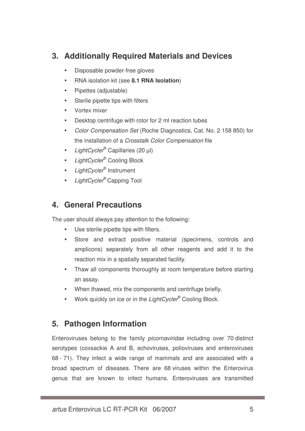## **3. Additionally Required Materials and Devices**

- Disposable powder-free gloves
- RNA isolation kit (see **8.1 RNA Isolation**)
- Pipettes (adjustable)
- Sterile pipette tips with filters
- Vortex mixer
- Desktop centrifuge with rotor for 2 ml reaction tubes
- *Color Compensation Set* (Roche Diagnostics, Cat. No. 2 158 850) for the installation of a *Crosstalk Color Compensation* file
- *LightCycler* ® Capillaries (20 µl)
- *LightCycler* ® Cooling Block
- *LightCycler* ® Instrument
- *LightCycler* ® Capping Tool

## **4. General Precautions**

The user should always pay attention to the following:

- Use sterile pipette tips with filters.
- Store and extract positive material (specimens, controls and amplicons) separately from all other reagents and add it to the reaction mix in a spatially separated facility.
- Thaw all components thoroughly at room temperature before starting an assay.
- When thawed, mix the components and centrifuge briefly.
- Work quickly on ice or in the *LightCycler* ® Cooling Block.

## **5. Pathogen Information**

Enteroviruses belong to the family *picornaviridae* including over 70 distinct serotypes (coxsackie A and B, echoviruses, polioviruses and enteroviruses 68 - 71). They infect a wide range of mammals and are associated with a broad spectrum of diseases. There are 68 viruses within the Enterovirus genus that are known to infect humans. Enteroviruses are transmitted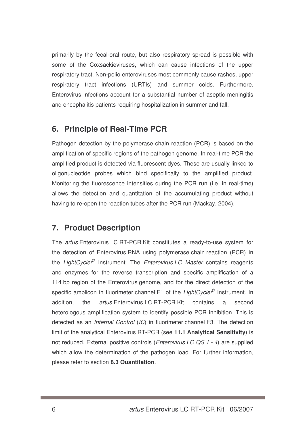primarily by the fecal-oral route, but also respiratory spread is possible with some of the Coxsackieviruses, which can cause infections of the upper respiratory tract. Non-polio enteroviruses most commonly cause rashes, upper respiratory tract infections (URTIs) and summer colds. Furthermore, Enterovirus infections account for a substantial number of aseptic meningitis and encephalitis patients requiring hospitalization in summer and fall.

#### **6. Principle of Real-Time PCR**

Pathogen detection by the polymerase chain reaction (PCR) is based on the amplification of specific regions of the pathogen genome. In real-time PCR the amplified product is detected via fluorescent dyes. These are usually linked to oligonucleotide probes which bind specifically to the amplified product. Monitoring the fluorescence intensities during the PCR run (i.e. in real-time) allows the detection and quantitation of the accumulating product without having to re-open the reaction tubes after the PCR run (Mackay, 2004).

## **7. Product Description**

The *artus* Enterovirus LC RT-PCR Kit constitutes a ready-to-use system for the detection of Enterovirus RNA using polymerase chain reaction (PCR) in the *LightCycler* ® Instrument. The *Enterovirus LC Master* contains reagents and enzymes for the reverse transcription and specific amplification of a 114 bp region of the Enterovirus genome, and for the direct detection of the specific amplicon in fluorimeter channel F1 of the *LightCycler* ® Instrument. In addition, the *artus* Enterovirus LC RT-PCR Kit contains a second heterologous amplification system to identify possible PCR inhibition. This is detected as an *Internal Control* (*IC*) in fluorimeter channel F3. The detection limit of the analytical Enterovirus RT-PCR (see **11.1 Analytical Sensitivity**) is not reduced. External positive controls (*Enterovirus LC QS 1 - 4*) are supplied which allow the determination of the pathogen load. For further information, please refer to section **8.3 Quantitation**.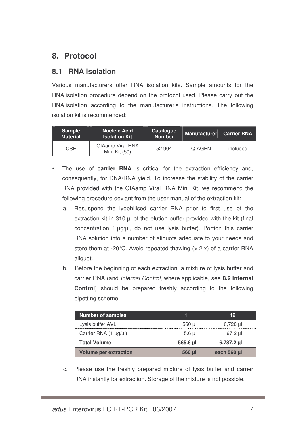## **8. Protocol**

#### **8.1 RNA Isolation**

Various manufacturers offer RNA isolation kits. Sample amounts for the RNA isolation procedure depend on the protocol used. Please carry out the RNA isolation according to the manufacturer's instructions. The following isolation kit is recommended:

| <b>Sample</b><br><b>Material</b> | <b>Nucleic Acid</b><br><b>Isolation Kit</b> | Catalogue<br><b>Number</b> | <b>Manufacturer</b> | <b>Carrier RNA</b> |
|----------------------------------|---------------------------------------------|----------------------------|---------------------|--------------------|
| CSF                              | <b>QIAamp Viral RNA</b><br>Mini Kit (50)    | 52 904                     | <b>QIAGEN</b>       | included           |

- The use of **carrier RNA** is critical for the extraction efficiency and, consequently, for DNA/RNA yield. To increase the stability of the carrier RNA provided with the QIAamp Viral RNA Mini Kit, we recommend the following procedure deviant from the user manual of the extraction kit:
	- a. Resuspend the lyophilised carrier RNA prior to first use of the extraction kit in 310 µl of the elution buffer provided with the kit (final concentration 1 µg/µl, do not use lysis buffer). Portion this carrier RNA solution into a number of aliquots adequate to your needs and store them at -20 °C. Avoid repeated thawing  $(> 2 x)$  of a carrier RNA aliquot.
	- b. Before the beginning of each extraction, a mixture of lysis buffer and carrier RNA (and *Internal Control*, where applicable, see **8.2 Internal Control**) should be prepared freshly according to the following pipetting scheme:

| <b>Number of samples</b>      |             | 12            |
|-------------------------------|-------------|---------------|
| Lysis buffer AVL              | 560 ul      | $6,720 \mu$   |
| Carrier RNA $(1 \mu g/\mu l)$ | $5.6$ µ     | 67.2 µl       |
| <b>Total Volume</b>           | $565.6 \mu$ | $6,787.2 \mu$ |
| <b>Volume per extraction</b>  | 560 µl      | each 560 µl   |

c. Please use the freshly prepared mixture of lysis buffer and carrier RNA instantly for extraction. Storage of the mixture is not possible.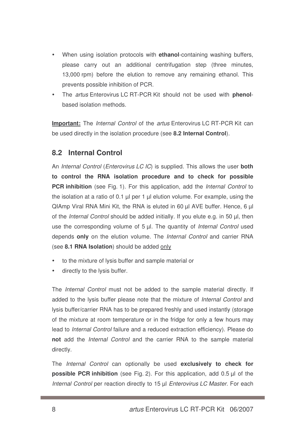- When using isolation protocols with **ethanol**-containing washing buffers, please carry out an additional centrifugation step (three minutes, 13,000 rpm) before the elution to remove any remaining ethanol. This prevents possible inhibition of PCR.
- The *artus* Enterovirus LC RT-PCR Kit should not be used with **phenol**based isolation methods.

**Important:** The *Internal Control* of the *artus* Enterovirus LC RT-PCR Kit can be used directly in the isolation procedure (see **8.2 Internal Control**).

#### **8.2 Internal Control**

An *Internal Control* (*Enterovirus LC IC*) is supplied. This allows the user **both to control the RNA isolation procedure and to check for possible PCR inhibition** (see Fig. 1). For this application, add the *Internal Control* to the isolation at a ratio of 0.1  $\mu$  per 1  $\mu$  elution volume. For example, using the QIAmp Viral RNA Mini Kit, the RNA is eluted in 60 µl AVE buffer. Hence, 6 µl of the *Internal Control* should be added initially. If you elute e.g. in 50 µl, then use the corresponding volume of 5 µl. The quantity of *Internal Control* used depends **only** on the elution volume. The *Internal Control* and carrier RNA (see **8.1 RNA Isolation**) should be added only

- to the mixture of lysis buffer and sample material or
- directly to the lysis buffer.

The *Internal Control* must not be added to the sample material directly. If added to the lysis buffer please note that the mixture of *Internal Control* and lysis buffer/carrier RNA has to be prepared freshly and used instantly (storage of the mixture at room temperature or in the fridge for only a few hours may lead to *Internal Control* failure and a reduced extraction efficiency). Please do **not** add the *Internal Control* and the carrier RNA to the sample material directly.

The *Internal Control* can optionally be used **exclusively to check for possible PCR inhibition** (see Fig. 2). For this application, add 0.5 µl of the *Internal Control* per reaction directly to 15 µl *Enterovirus LC Master*. For each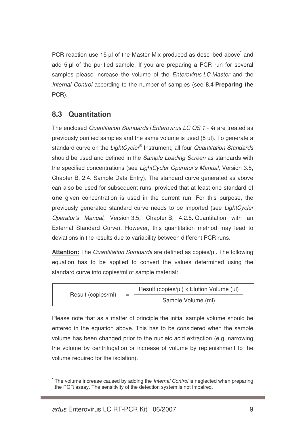PCR reaction use 15 µl of the Master Mix produced as described above and add 5 µl of the purified sample. If you are preparing a PCR run for several samples please increase the volume of the *Enterovirus LC Master* and the *Internal Control* according to the number of samples (see **8.4 Preparing the PCR**).

#### **8.3 Quantitation**

The enclosed *Quantitation Standards* (*Enterovirus LC QS 1 - 4*) are treated as previously purified samples and the same volume is used (5 µl). To generate a standard curve on the *LightCycler* ® Instrument, all four *Quantitation Standards* should be used and defined in the *Sample Loading Screen* as standards with the specified concentrations (see *LightCycler Operator's Manual*, Version 3.5, Chapter B, 2.4. Sample Data Entry). The standard curve generated as above can also be used for subsequent runs, provided that at least one standard of **one** given concentration is used in the current run. For this purpose, the previously generated standard curve needs to be imported (see *LightCycler Operator's Manual*, Version 3.5, Chapter B, 4.2.5. Quantitation with an External Standard Curve). However, this quantitation method may lead to deviations in the results due to variability between different PCR runs.

**Attention:** The *Quantitation Standards* are defined as copies/µl. The following equation has to be applied to convert the values determined using the standard curve into copies/ml of sample material:

|                    | $=$ | Result (copies/ $\mu$ I) x Elution Volume ( $\mu$ I) |
|--------------------|-----|------------------------------------------------------|
| Result (copies/ml) |     | Sample Volume (ml)                                   |

Please note that as a matter of principle the initial sample volume should be entered in the equation above. This has to be considered when the sample volume has been changed prior to the nucleic acid extraction (e.g. narrowing the volume by centrifugation or increase of volume by replenishment to the volume required for the isolation).

<sup>\*</sup> The volume increase caused by adding the *Internal Control* is neglected when preparing the PCR assay. The sensitivity of the detection system is not impaired.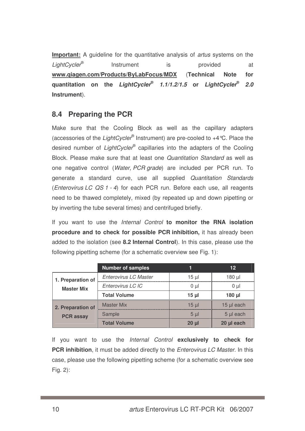**Important:** A guideline for the quantitative analysis of *artus* systems on the *LightCycler* ® Instrument is provided at **www.qiagen.com/Products/ByLabFocus/MDX** (**Technical Note for quantitation on the** *LightCycler* **®** *1.1/1.2/1.5* **or** *LightCycler* **®** *2.0* **Instrument**).

## **8.4 Preparing the PCR**

Make sure that the Cooling Block as well as the capillary adapters (accessories of the *LightCycler* ® Instrument) are pre-cooled to +4°C. Place the desired number of *LightCycler* ® capillaries into the adapters of the Cooling Block. Please make sure that at least one *Quantitation Standard* as well as one negative control (*Water*, *PCR grade*) are included per PCR run. To generate a standard curve, use all supplied *Quantitation Standards* (*Enterovirus LC QS 1 - 4*) for each PCR run. Before each use, all reagents need to be thawed completely, mixed (by repeated up and down pipetting or by inverting the tube several times) and centrifuged briefly.

If you want to use the *Internal Control* **to monitor the RNA isolation procedure and to check for possible PCR inhibition,** it has already been added to the isolation (see **8.2 Internal Control**). In this case, please use the following pipetting scheme (for a schematic overview see Fig. 1):

|                   | <b>Number of samples</b>     |                  | 12            |
|-------------------|------------------------------|------------------|---------------|
| 1. Preparation of | <b>Enterovirus LC Master</b> | $15 \mu$         | 180 µl        |
| <b>Master Mix</b> | Enterovirus LC IC            | $0 \mu l$        | $0 \mu$       |
|                   | <b>Total Volume</b>          | 15 <sub>µ</sub>  | $180$ µ       |
| 2. Preparation of | <b>Master Mix</b>            | 15 <sub>ul</sub> | $15 \mu$ each |
| <b>PCR assay</b>  | Sample                       | 5 <sub>ul</sub>  | 5 µl each     |
|                   | <b>Total Volume</b>          | 20 ul            | 20 µl each    |

If you want to use the *Internal Control* **exclusively to check for PCR inhibition**, it must be added directly to the *Enterovirus LC Master*. In this case, please use the following pipetting scheme (for a schematic overview see Fig. 2):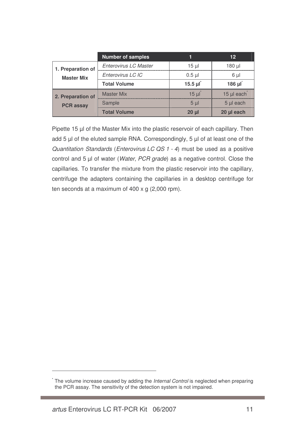|                   | <b>Number of samples</b>     |            | 12          |
|-------------------|------------------------------|------------|-------------|
| 1. Preparation of | <b>Enterovirus LC Master</b> | 15 µl      | 180 µl      |
| <b>Master Mix</b> | Enterovirus LC IC            | $0.5$ µ    | 6 µl        |
|                   | <b>Total Volume</b>          | $15.5 \mu$ | $186$ $\mu$ |
| 2. Preparation of | <b>Master Mix</b>            | $15$ $\mu$ | 15 µl each  |
| <b>PCR assay</b>  | Sample                       | $5 \mu$    | 5 µl each   |
|                   | <b>Total Volume</b>          |            | 20 µl each  |

Pipette 15 µl of the Master Mix into the plastic reservoir of each capillary. Then add 5 µl of the eluted sample RNA. Correspondingly, 5 µl of at least one of the *Quantitation Standards* (*Enterovirus LC QS 1 - 4*) must be used as a positive control and 5 µl of water (*Water*, *PCR grade*) as a negative control. Close the capillaries. To transfer the mixture from the plastic reservoir into the capillary, centrifuge the adapters containing the capillaries in a desktop centrifuge for ten seconds at a maximum of 400 x g (2,000 rpm).

\*

The volume increase caused by adding the *Internal Control* is neglected when preparing the PCR assay. The sensitivity of the detection system is not impaired.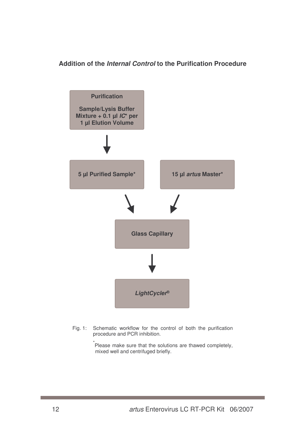#### **Addition of the** *Internal Control* **to the Purification Procedure**



Fig. 1: Schematic workflow for the control of both the purification procedure and PCR inhibition.

> \*<br>Please make sure that the solutions are thawed completely, mixed well and centrifuged briefly.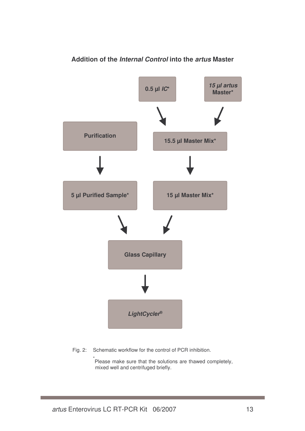

**Addition of the** *Internal Control* **into the** *artus* **Master**

Fig. 2: Schematic workflow for the control of PCR inhibition.

\*<br>Please make sure that the solutions are thawed completely, mixed well and centrifuged briefly.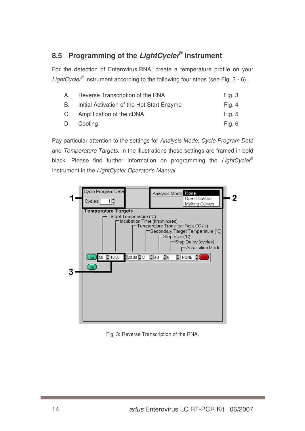## **8.5 Programming of the** *LightCycler* **® Instrument**

For the detection of Enterovirus RNA, create a temperature profile on your LightCycler<sup>®</sup> Instrument according to the following four steps (see Fig. 3 - 6).

| A. Reverse Transcription of the RNA           | Fig. 3   |
|-----------------------------------------------|----------|
| B. Initial Activation of the Hot Start Enzyme | Fia. 4   |
| C. Amplification of the cDNA                  | Fig. $5$ |
| D. Cooling                                    | Fig. 6   |

Pay particular attention to the settings for *Analysis Mode*, *Cycle Program Data* and *Temperature Targets*. In the illustrations these settings are framed in bold black. Please find further information on programming the *LightCycler* ® Instrument in the *LightCycler Operator's Manual*.



Fig. 3: Reverse Transcription of the RNA.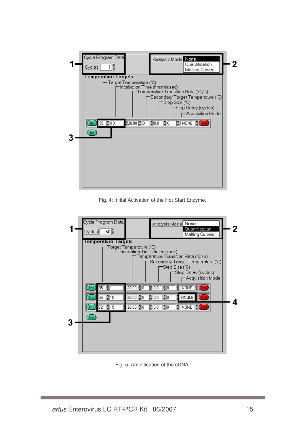

Fig. 4: Initial Activation of the Hot Start Enzyme.



Fig. 5: Amplification of the cDNA.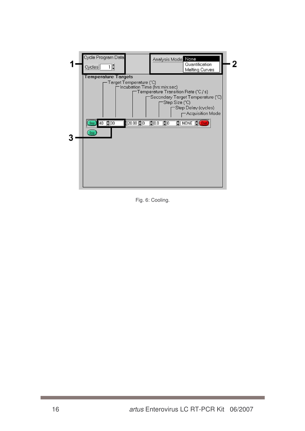

Fig. 6: Cooling.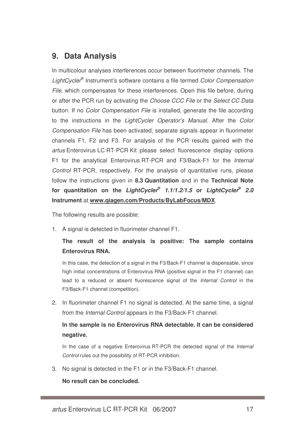## **9. Data Analysis**

In multicolour analyses interferences occur between fluorimeter channels. The *LightCycler* ® Instrument's software contains a file termed *Color Compensation File*, which compensates for these interferences. Open this file before, during or after the PCR run by activating the *Choose CCC File* or the *Select CC Data* button. If no *Color Compensation File* is installed, generate the file according to the instructions in the *LightCycler Operator's Manual*. After the *Color Compensation File* has been activated, separate signals appear in fluorimeter channels F1, F2 and F3. For analysis of the PCR results gained with the *artus* Enterovirus LC RT-PCR Kit please select fluorescence display options F1 for the analytical Enterovirus RT-PCR and F3/Back-F1 for the *Internal Control* RT-PCR, respectively. For the analysis of quantitative runs, please follow the instructions given in **8.3 Quantitation** and in the **Technical Note for quantitation on the** *LightCycler* **®** *1.1/1.2/1.5* **or** *LightCycler* **®** *2.0* **Instrument** at **www.qiagen.com/Products/ByLabFocus/MDX**.

The following results are possible:

1. A signal is detected in fluorimeter channel F1.

#### **The result of the analysis is positive: The sample contains Enterovirus RNA.**

In this case, the detection of a signal in the F3/Back-F1 channel is dispensable, since high initial concentrations of Enterovirus RNA (positive signal in the F1 channel) can lead to a reduced or absent fluorescence signal of the *Internal Control* in the F3/Back-F1 channel (competition).

2. In fluorimeter channel F1 no signal is detected. At the same time, a signal from the *Internal Control* appears in the F3/Back-F1 channel.

#### **In the sample is no Enterovirus RNA detectable. It can be considered negative.**

In the case of a negative Enterovirus RT-PCR the detected signal of the *Internal Control* rules out the possibility of RT-PCR inhibition.

3. No signal is detected in the F1 or in the F3/Back-F1 channel.

#### **No result can be concluded.**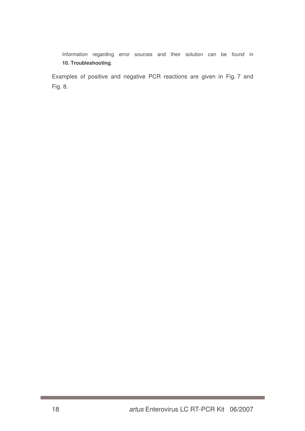Information regarding error sources and their solution can be found in **10. Troubleshooting**.

Examples of positive and negative PCR reactions are given in Fig. 7 and Fig. 8.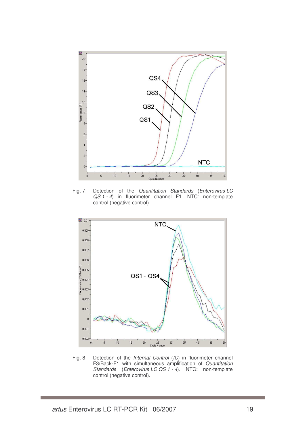

Fig. 7: Detection of the *Quantitation Standards* (*Enterovirus LC QS 1 - 4*) in fluorimeter channel F1. NTC: non-template control (negative control).



Fig. 8: Detection of the *Internal Control* (*IC*) in fluorimeter channel F3/Back-F1 with simultaneous amplification of *Quantitation Standards* (*Enterovirus LC QS 1 - 4*)*.* NTC: non-template control (negative control).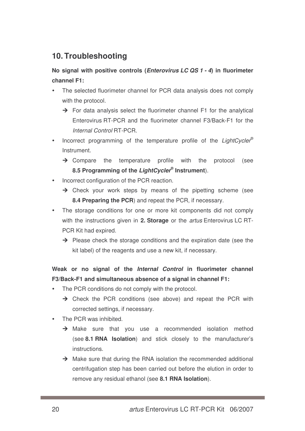## **10. Troubleshooting**

#### **No signal with positive controls (***Enterovirus LC QS 1 - 4***) in fluorimeter channel F1:**

- The selected fluorimeter channel for PCR data analysis does not comply with the protocol.
	- $\rightarrow$  For data analysis select the fluorimeter channel F1 for the analytical Enterovirus RT-PCR and the fluorimeter channel F3/Back-F1 for the *Internal Control* RT-PCR.
- Incorrect programming of the temperature profile of the LightCycler® Instrument.
	- $\rightarrow$  Compare the temperature profile with the protocol (see **8.5 Programming of the** *LightCycler* **® Instrument**).
- Incorrect configuration of the PCR reaction.
	- $\rightarrow$  Check your work steps by means of the pipetting scheme (see **8.4 Preparing the PCR**) and repeat the PCR, if necessary.
- The storage conditions for one or more kit components did not comply with the instructions given in **2. Storage** or the *artus* Enterovirus LC RT-PCR Kit had expired.
	- $\rightarrow$  Please check the storage conditions and the expiration date (see the kit label) of the reagents and use a new kit, if necessary.

#### **Weak or no signal of the** *Internal Control* **in fluorimeter channel F3/Back-F1 and simultaneous absence of a signal in channel F1:**

- The PCR conditions do not comply with the protocol.
	- $\rightarrow$  Check the PCR conditions (see above) and repeat the PCR with corrected settings, if necessary.
- The PCR was inhibited.
	- $\rightarrow$  Make sure that you use a recommended isolation method (see **8.1 RNA Isolation**) and stick closely to the manufacturer's instructions.
	- $\rightarrow$  Make sure that during the RNA isolation the recommended additional centrifugation step has been carried out before the elution in order to remove any residual ethanol (see **8.1 RNA Isolation**).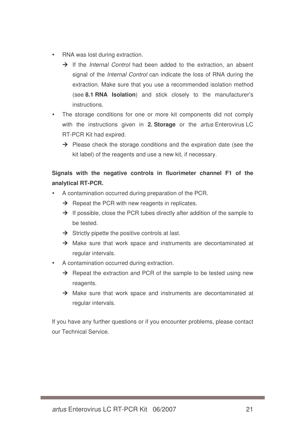- RNA was lost during extraction.
	- $\rightarrow$  If the *Internal Control* had been added to the extraction, an absent signal of the *Internal Control* can indicate the loss of RNA during the extraction. Make sure that you use a recommended isolation method (see **8.1 RNA Isolation**) and stick closely to the manufacturer's instructions.
- The storage conditions for one or more kit components did not comply with the instructions given in **2. Storage** or the *artus* Enterovirus LC RT-PCR Kit had expired.
	- $\rightarrow$  Please check the storage conditions and the expiration date (see the kit label) of the reagents and use a new kit, if necessary.

#### **Signals with the negative controls in fluorimeter channel F1 of the analytical RT-PCR.**

- A contamination occurred during preparation of the PCR.
	- $\rightarrow$  Repeat the PCR with new reagents in replicates.
	- $\rightarrow$  If possible, close the PCR tubes directly after addition of the sample to be tested.
	- $\rightarrow$  Strictly pipette the positive controls at last.
	- $\rightarrow$  Make sure that work space and instruments are decontaminated at regular intervals.
- A contamination occurred during extraction.
	- $\rightarrow$  Repeat the extraction and PCR of the sample to be tested using new reagents.
	- $\rightarrow$  Make sure that work space and instruments are decontaminated at regular intervals.

If you have any further questions or if you encounter problems, please contact our Technical Service.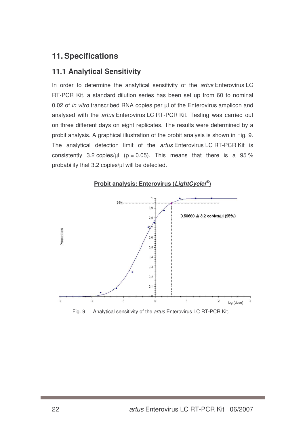## **11.Specifications**

#### **11.1 Analytical Sensitivity**

In order to determine the analytical sensitivity of the *artus* Enterovirus LC RT-PCR Kit, a standard dilution series has been set up from 60 to nominal 0.02 of *in vitro* transcribed RNA copies per µl of the Enterovirus amplicon and analysed with the *artus* Enterovirus LC RT-PCR Kit. Testing was carried out on three different days on eight replicates. The results were determined by a probit analysis. A graphical illustration of the probit analysis is shown in Fig. 9. The analytical detection limit of the *artus* Enterovirus LC RT-PCR Kit is consistently 3.2 copies/ $\mu$ l (p = 0.05). This means that there is a 95% probability that 3.2 copies/µl will be detected.



**Probit analysis: Enterovirus (***LightCycler* **® )**

Fig. 9: Analytical sensitivity of the *artus* Enterovirus LC RT-PCR Kit.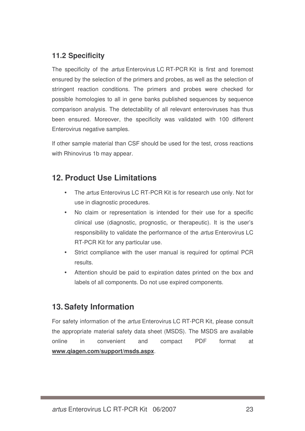#### **11.2 Specificity**

The specificity of the *artus* Enterovirus LC RT-PCR Kit is first and foremost ensured by the selection of the primers and probes, as well as the selection of stringent reaction conditions. The primers and probes were checked for possible homologies to all in gene banks published sequences by sequence comparison analysis. The detectability of all relevant enteroviruses has thus been ensured. Moreover, the specificity was validated with 100 different Enterovirus negative samples.

If other sample material than CSF should be used for the test, cross reactions with Rhinovirus 1b may appear.

## **12. Product Use Limitations**

- The *artus* Enterovirus LC RT-PCR Kit is for research use only. Not for use in diagnostic procedures.
- No claim or representation is intended for their use for a specific clinical use (diagnostic, prognostic, or therapeutic). It is the user's responsibility to validate the performance of the *artus* Enterovirus LC RT-PCR Kit for any particular use.
- Strict compliance with the user manual is required for optimal PCR results.
- Attention should be paid to expiration dates printed on the box and labels of all components. Do not use expired components.

## **13.Safety Information**

For safety information of the *artus* Enterovirus LC RT-PCR Kit, please consult the appropriate material safety data sheet (MSDS). The MSDS are available online in convenient and compact PDF format at **www.qiagen.com/support/msds.aspx**.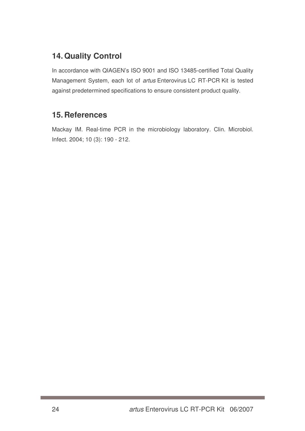## **14.Quality Control**

In accordance with QIAGEN's ISO 9001 and ISO 13485-certified Total Quality Management System, each lot of *artus* Enterovirus LC RT-PCR Kit is tested against predetermined specifications to ensure consistent product quality.

## **15. References**

Mackay IM. Real-time PCR in the microbiology laboratory. Clin. Microbiol. Infect. 2004; 10 (3): 190 - 212.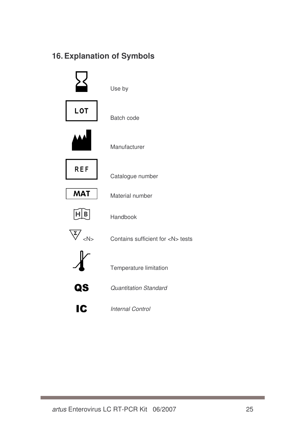## **16.Explanation of Symbols**

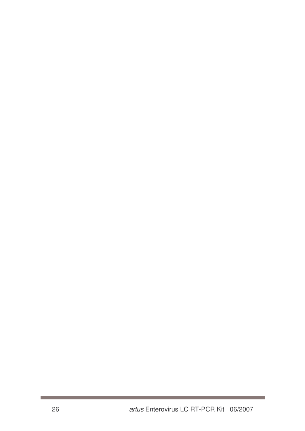*artus* Enterovirus LC RT-PCR Kit 06/2007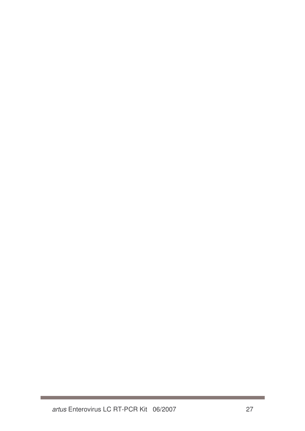*artus* Enterovirus LC RT-PCR Kit 06/2007 27